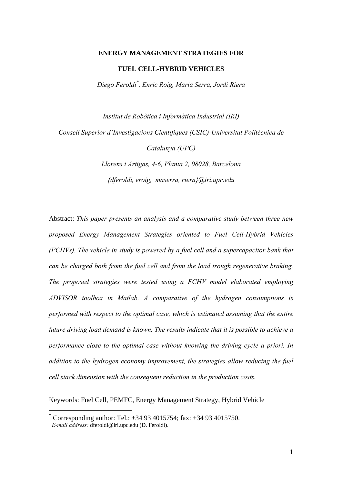#### **ENERGY MANAGEMENT STRATEGIES FOR**

### **FUEL CELL-HYBRID VEHICLES**

*Diego Feroldi\* , Enric Roig, Maria Serra, Jordi Riera* 

*Institut de Robòtica i Informàtica Industrial (IRI) Consell Superior d'Investigacions Científiques (CSIC)-Universitat Politècnica de Catalunya (UPC)* 

> *Llorens i Artigas, 4-6, Planta 2, 08028, Barcelona {dferoldi, eroig, maserra, riera}@iri.upc.edu*

Abstract: *This paper presents an analysis and a comparative study between three new proposed Energy Management Strategies oriented to Fuel Cell-Hybrid Vehicles (FCHVs). The vehicle in study is powered by a fuel cell and a supercapacitor bank that can be charged both from the fuel cell and from the load trough regenerative braking. The proposed strategies were tested using a FCHV model elaborated employing ADVISOR toolbox in Matlab. A comparative of the hydrogen consumptions is performed with respect to the optimal case, which is estimated assuming that the entire future driving load demand is known. The results indicate that it is possible to achieve a performance close to the optimal case without knowing the driving cycle a priori. In addition to the hydrogen economy improvement, the strategies allow reducing the fuel cell stack dimension with the consequent reduction in the production costs.* 

Keywords: Fuel Cell, PEMFC, Energy Management Strategy, Hybrid Vehicle

 $\overline{a}$ 

<sup>\*</sup> Corresponding author: Tel.: +34 93 4015754; fax: +34 93 4015750.  *E-mail address:* dferoldi@iri.upc.edu (D. Feroldi).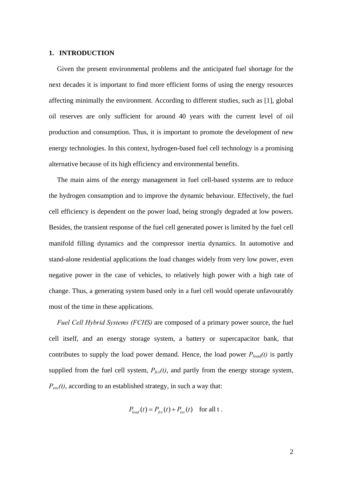#### **1. INTRODUCTION**

Given the present environmental problems and the anticipated fuel shortage for the next decades it is important to find more efficient forms of using the energy resources affecting minimally the environment. According to different studies, such as [1], global oil reserves are only sufficient for around 40 years with the current level of oil production and consumption. Thus, it is important to promote the development of new energy technologies. In this context, hydrogen-based fuel cell technology is a promising alternative because of its high efficiency and environmental benefits.

The main aims of the energy management in fuel cell-based systems are to reduce the hydrogen consumption and to improve the dynamic behaviour. Effectively, the fuel cell efficiency is dependent on the power load, being strongly degraded at low powers. Besides, the transient response of the fuel cell generated power is limited by the fuel cell manifold filling dynamics and the compressor inertia dynamics. In automotive and stand-alone residential applications the load changes widely from very low power, even negative power in the case of vehicles, to relatively high power with a high rate of change. Thus, a generating system based only in a fuel cell would operate unfavourably most of the time in these applications.

*Fuel Cell Hybrid Systems (FCHS)* are composed of a primary power source, the fuel cell itself, and an energy storage system, a battery or supercapacitor bank, that contributes to supply the load power demand. Hence, the load power  $P_{load}(t)$  is partly supplied from the fuel cell system,  $P_{\text{fcs}}(t)$ , and partly from the energy storage system,  $P_{\text{ess}}(t)$ , according to an established strategy, in such a way that:

$$
P_{load}(t) = P_{fcs}(t) + P_{ess}(t) \quad \text{for all } t.
$$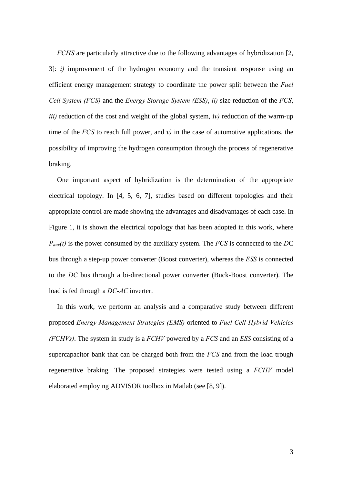*FCHS* are particularly attractive due to the following advantages of hybridization [2, 3]: *i)* improvement of the hydrogen economy and the transient response using an efficient energy management strategy to coordinate the power split between the *Fuel Cell System (FCS)* and the *Energy Storage System (ESS)*, *ii)* size reduction of the *FCS*, *iii)* reduction of the cost and weight of the global system, i*v)* reduction of the warm-up time of the *FCS* to reach full power, and  $v$ ) in the case of automotive applications, the possibility of improving the hydrogen consumption through the process of regenerative braking.

One important aspect of hybridization is the determination of the appropriate electrical topology. In [4, 5, 6, 7], studies based on different topologies and their appropriate control are made showing the advantages and disadvantages of each case. In Figure 1, it is shown the electrical topology that has been adopted in this work, where *Paux(t)* is the power consumed by the auxiliary system. The *FCS* is connected to the *D*C bus through a step-up power converter (Boost converter), whereas the *ESS* is connected to the *DC* bus through a bi-directional power converter (Buck-Boost converter). The load is fed through a *DC-AC* inverter.

In this work, we perform an analysis and a comparative study between different proposed *Energy Management Strategies (EMS)* oriented to *Fuel Cell-Hybrid Vehicles (FCHVs)*. The system in study is a *FCHV* powered by a *FCS* and an *ESS* consisting of a supercapacitor bank that can be charged both from the *FCS* and from the load trough regenerative braking*.* The proposed strategies were tested using a *FCHV* model elaborated employing ADVISOR toolbox in Matlab (see [8, 9]).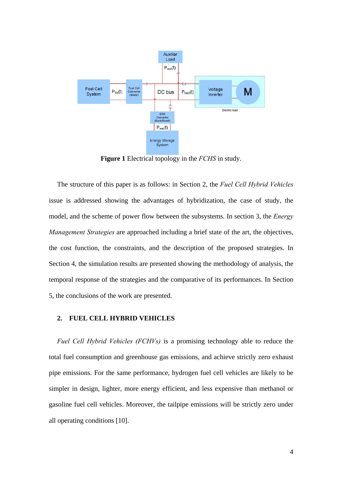

**Figure 1** Electrical topology in the *FCHS* in study.

The structure of this paper is as follows: in Section 2, the *Fuel Cell Hybrid Vehicles* issue is addressed showing the advantages of hybridization, the case of study, the model, and the scheme of power flow between the subsystems. In section 3, the *Energy Management Strategies* are approached including a brief state of the art, the objectives, the cost function, the constraints, and the description of the proposed strategies. In Section 4, the simulation results are presented showing the methodology of analysis, the temporal response of the strategies and the comparative of its performances. In Section 5, the conclusions of the work are presented.

# **2. FUEL CELL HYBRID VEHICLES**

*Fuel Cell Hybrid Vehicles (FCHVs)* is a promising technology able to reduce the total fuel consumption and greenhouse gas emissions, and achieve strictly zero exhaust pipe emissions. For the same performance, hydrogen fuel cell vehicles are likely to be simpler in design, lighter, more energy efficient, and less expensive than methanol or gasoline fuel cell vehicles. Moreover, the tailpipe emissions will be strictly zero under all operating conditions [10].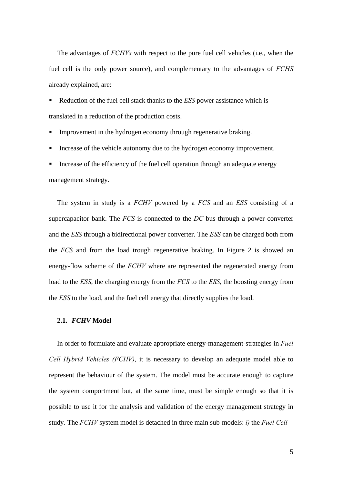The advantages of *FCHVs* with respect to the pure fuel cell vehicles (i.e., when the fuel cell is the only power source), and complementary to the advantages of *FCHS* already explained, are:

 Reduction of the fuel cell stack thanks to the *ESS* power assistance which is translated in a reduction of the production costs.

Improvement in the hydrogen economy through regenerative braking.

Increase of the vehicle autonomy due to the hydrogen economy improvement.

 Increase of the efficiency of the fuel cell operation through an adequate energy management strategy.

The system in study is a *FCHV* powered by a *FCS* and an *ESS* consisting of a supercapacitor bank. The *FCS* is connected to the *DC* bus through a power converter and the *ESS* through a bidirectional power converter. The *ESS* can be charged both from the *FCS* and from the load trough regenerative braking. In Figure 2 is showed an energy-flow scheme of the *FCHV* where are represented the regenerated energy from load to the *ESS*, the charging energy from the *FCS* to the *ESS*, the boosting energy from the *ESS* to the load, and the fuel cell energy that directly supplies the load.

#### **2.1.** *FCHV* **Model**

In order to formulate and evaluate appropriate energy-management-strategies in *Fuel Cell Hybrid Vehicles (FCHV)*, it is necessary to develop an adequate model able to represent the behaviour of the system. The model must be accurate enough to capture the system comportment but, at the same time, must be simple enough so that it is possible to use it for the analysis and validation of the energy management strategy in study. The *FCHV* system model is detached in three main sub-models: *i)* the *Fuel Cell*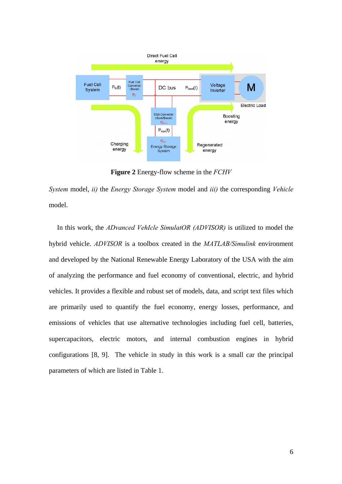

**Figure 2** Energy-flow scheme in the *FCHV*

*System* model, *ii)* the *Energy Storage System* model and *iii)* the corresponding *Vehicle* model.

In this work, the *ADvanced VehIcle SimulatOR (ADVISOR)* is utilized to model the hybrid vehicle. *ADVISOR* is a toolbox created in the *MATLAB/Simulink* environment and developed by the National Renewable Energy Laboratory of the USA with the aim of analyzing the performance and fuel economy of conventional, electric, and hybrid vehicles. It provides a flexible and robust set of models, data, and script text files which are primarily used to quantify the fuel economy, energy losses, performance, and emissions of vehicles that use alternative technologies including fuel cell, batteries, supercapacitors, electric motors, and internal combustion engines in hybrid configurations [8, 9]. The vehicle in study in this work is a small car the principal parameters of which are listed in Table 1.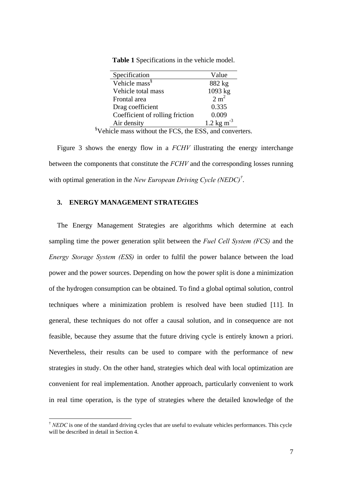| Specification                   | Value                  |
|---------------------------------|------------------------|
| Vehicle mass <sup>§</sup>       | 882 kg                 |
| Vehicle total mass              | 1093 kg                |
| Frontal area                    | 2 m <sup>2</sup>       |
| Drag coefficient                | 0.335                  |
| Coefficient of rolling friction | 0.009                  |
| Air density                     | 1.2 kg m <sup>-3</sup> |

**Table 1** Specifications in the vehicle model.

§ Vehicle mass without the FCS, the ESS, and converters.

Figure 3 shows the energy flow in a *FCHV* illustrating the energy interchange between the components that constitute the *FCHV* and the corresponding losses running with optimal generation in the *New European Driving Cycle (NEDC)†* .

### **3. ENERGY MANAGEMENT STRATEGIES**

 $\overline{a}$ 

The Energy Management Strategies are algorithms which determine at each sampling time the power generation split between the *Fuel Cell System (FCS)* and the *Energy Storage System (ESS)* in order to fulfil the power balance between the load power and the power sources. Depending on how the power split is done a minimization of the hydrogen consumption can be obtained. To find a global optimal solution, control techniques where a minimization problem is resolved have been studied [11]. In general, these techniques do not offer a causal solution, and in consequence are not feasible, because they assume that the future driving cycle is entirely known a priori. Nevertheless, their results can be used to compare with the performance of new strategies in study. On the other hand, strategies which deal with local optimization are convenient for real implementation. Another approach, particularly convenient to work in real time operation, is the type of strategies where the detailed knowledge of the

<sup>†</sup> *NEDC* is one of the standard driving cycles that are useful to evaluate vehicles performances. This cycle will be described in detail in Section 4.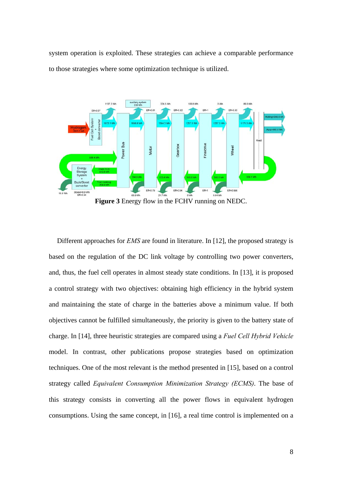system operation is exploited. These strategies can achieve a comparable performance to those strategies where some optimization technique is utilized.



Different approaches for *EMS* are found in literature. In [12], the proposed strategy is based on the regulation of the DC link voltage by controlling two power converters, and, thus, the fuel cell operates in almost steady state conditions. In [13], it is proposed a control strategy with two objectives: obtaining high efficiency in the hybrid system and maintaining the state of charge in the batteries above a minimum value. If both objectives cannot be fulfilled simultaneously, the priority is given to the battery state of charge. In [14], three heuristic strategies are compared using a *Fuel Cell Hybrid Vehicle* model. In contrast, other publications propose strategies based on optimization techniques. One of the most relevant is the method presented in [15], based on a control strategy called *Equivalent Consumption Minimization Strategy (ECMS)*. The base of this strategy consists in converting all the power flows in equivalent hydrogen consumptions. Using the same concept, in [16], a real time control is implemented on a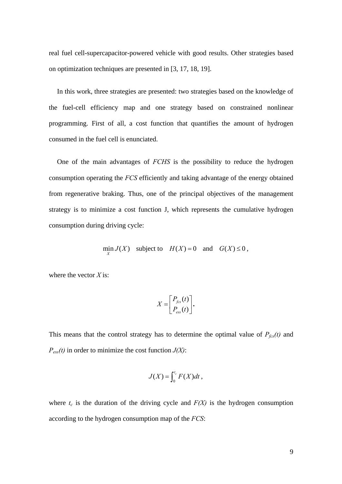real fuel cell-supercapacitor-powered vehicle with good results. Other strategies based on optimization techniques are presented in [3, 17, 18, 19].

In this work, three strategies are presented: two strategies based on the knowledge of the fuel-cell efficiency map and one strategy based on constrained nonlinear programming. First of all, a cost function that quantifies the amount of hydrogen consumed in the fuel cell is enunciated.

One of the main advantages of *FCHS* is the possibility to reduce the hydrogen consumption operating the *FCS* efficiently and taking advantage of the energy obtained from regenerative braking. Thus, one of the principal objectives of the management strategy is to minimize a cost function J, which represents the cumulative hydrogen consumption during driving cycle:

$$
\min_{X} J(X) \quad \text{subject to} \quad H(X) = 0 \quad \text{and} \quad G(X) \le 0,
$$

where the vector *X* is:

$$
X = \begin{bmatrix} P_{fcs}(t) \\ P_{ess}(t) \end{bmatrix}.
$$

This means that the control strategy has to determine the optimal value of  $P_{fcs}(t)$  and  $P_{\text{ess}}(t)$  in order to minimize the cost function  $J(X)$ :

$$
J(X) = \int_0^{t_c} F(X) dt,
$$

where  $t_c$  is the duration of the driving cycle and  $F(X)$  is the hydrogen consumption according to the hydrogen consumption map of the *FCS*: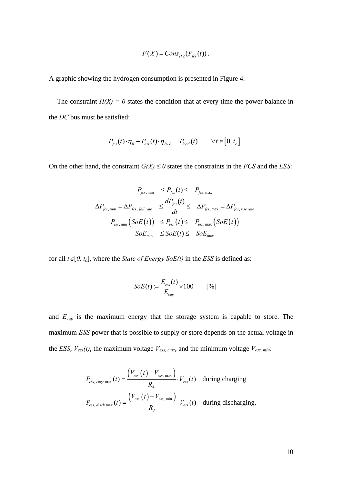$$
F(X) = Cons_{H2}(P_{fcs}(t)).
$$

A graphic showing the hydrogen consumption is presented in Figure 4.

The constraint  $H(X) = 0$  states the condition that at every time the power balance in the *DC* bus must be satisfied:

$$
P_{\text{fcs}}(t) \cdot \eta_B + P_{\text{ess}}(t) \cdot \eta_{\text{B/B}} = P_{\text{load}}(t) \qquad \forall t \in [0, t_c].
$$

On the other hand, the constraint  $G(X) \leq 0$  states the constraints in the *FCS* and the *ESS*:

$$
P_{fcs, min} \le P_{fcs}(t) \le P_{fcs, max}
$$
\n
$$
\Delta P_{fcs, min} = \Delta P_{fcs, fall\ rate} \le \frac{dP_{fcs}(t)}{dt} \le \Delta P_{fcs, max} = \Delta P_{fcs, rise\ rate}
$$
\n
$$
P_{\text{ess,min}} \left( SoE(t) \right) \le P_{\text{ess}} \left( t \right) \le P_{\text{ess,max}} \left( SoE(t) \right)
$$
\n
$$
SoE_{\text{min}} \le SoE(t) \le SoE_{\text{max}}
$$

for all  $t \in [0, t_c]$ , where the *State of Energy SoE(t)* in the *ESS* is defined as:

$$
SoE(t) := \frac{E_{\text{ess}}(t)}{E_{\text{cap}}} \times 100 \qquad [%]
$$

and *Ecap* is the maximum energy that the storage system is capable to store. The maximum *ESS* power that is possible to supply or store depends on the actual voltage in the *ESS*,  $V_{\text{ess}}(t)$ , the maximum voltage  $V_{\text{ess, max}}$ , and the minimum voltage  $V_{\text{ess, min}}$ :

$$
P_{\rm ess, \, charge \, max}(t) = \frac{V_{\rm ess}(t) - V_{\rm ess, \, max}}{R_d} \cdot V_{\rm ess}(t) \quad \text{during charging}
$$
\n
$$
P_{\rm ess, \, disch \, max}(t) = \frac{V_{\rm ess}(t) - V_{\rm ess, \, min}}{R_d} \cdot V_{\rm ess}(t) \quad \text{during discharging,}
$$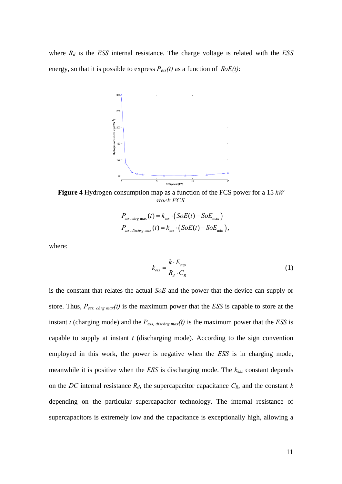where  $R_d$  is the *ESS* internal resistance. The charge voltage is related with the *ESS* energy, so that it is possible to express *Pess(t)* as a function of *SoE(t)*:



**Figure 4** Hydrogen consumption map as a function of the FCS power for a 15 *kW stack FCS*

$$
P_{\rm ess, \, \, \text{chrg max}}(t) = k_{\rm ess} \cdot (SoE(t) - SoE_{\rm max})
$$
\n
$$
P_{\rm ess, \, \, \text{dischrg max}}(t) = k_{\rm ess} \cdot (SoE(t) - SoE_{\rm min}),
$$

where:

$$
k_{\text{ess}} = \frac{k \cdot E_{\text{cap}}}{R_d \cdot C_R} \tag{1}
$$

is the constant that relates the actual *SoE* and the power that the device can supply or store. Thus, *Pess, chrg max(t)* is the maximum power that the *ESS* is capable to store at the instant *t* (charging mode) and the  $P_{\text{ess, dischrg max}}(t)$  is the maximum power that the *ESS* is capable to supply at instant *t* (discharging mode). According to the sign convention employed in this work, the power is negative when the *ESS* is in charging mode, meanwhile it is positive when the *ESS* is discharging mode. The *kess* constant depends on the *DC* internal resistance  $R_d$ , the supercapacitor capacitance  $C_R$ , and the constant  $k$ depending on the particular supercapacitor technology. The internal resistance of supercapacitors is extremely low and the capacitance is exceptionally high, allowing a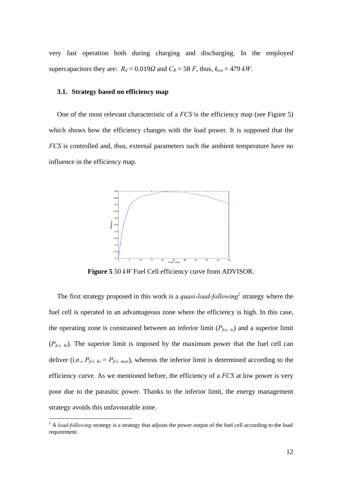very fast operation both during charging and discharging. In the employed supercapacitors they are:  $R_d = 0.019\Omega$  and  $C_R = 58$  *F*, thus,  $k_{ess} = 479$   $kW$ .

### **3.1. Strategy based on efficiency map**

One of the most relevant characteristic of a *FCS* is the efficiency map (see Figure 5) which shows how the efficiency changes with the load power. It is supposed that the *FCS* is controlled and, thus, external parameters such the ambient temperature have no influence in the efficiency map.



**Figure 5** 50 *kW* Fuel Cell efficiency curve from ADVISOR.

The first strategy proposed in this work is a *quasi-load-following‡* strategy where the fuel cell is operated in an advantageous zone where the efficiency is high. In this case, the operating zone is constrained between an inferior limit  $(P_{fcs, lo})$  and a superior limit (*Pfcs, hi*). The superior limit is imposed by the maximum power that the fuel cell can deliver (i.e.,  $P_{fcs, hi} = P_{fcs, max}$ ), whereas the inferior limit is determined according to the efficiency curve. As we mentioned before, the efficiency of a *FCS* at low power is very poor due to the parasitic power. Thanks to the inferior limit, the energy management strategy avoids this unfavourable zone.

 $\overline{a}$ 

<sup>‡</sup> A *load-following* strategy is a strategy that adjusts the power output of the fuel cell according to the load requirement.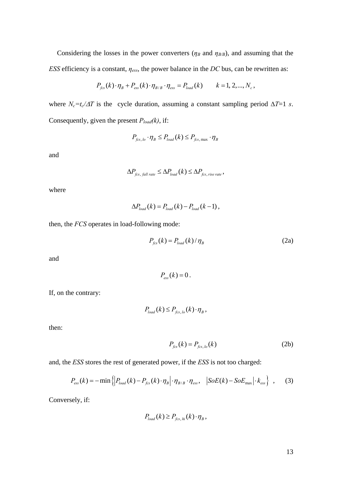Considering the losses in the power converters ( $\eta_B$  and  $\eta_{B/B}$ ), and assuming that the *ESS* efficiency is a constant, *ηess*, the power balance in the *DC* bus, can be rewritten as:

$$
P_{\text{fcs}}(k) \cdot \eta_B + P_{\text{ess}}(k) \cdot \eta_{B/B} \cdot \eta_{\text{ess}} = P_{\text{load}}(k) \qquad k = 1, 2, ..., N_c,
$$

where  $N_c = t_c/\Delta T$  is the cycle duration, assuming a constant sampling period  $\Delta T = 1$  *s*. Consequently, given the present *Pload(k)*, if:

$$
P_{\text{fcs,lo}} \cdot \eta_B \le P_{\text{load}}(k) \le P_{\text{fcs, max}} \cdot \eta_B
$$

and

$$
\Delta P_{\text{fcs, fall rate}} \leq \Delta P_{\text{load}}(k) \leq \Delta P_{\text{fcs, rise rate}},
$$

where

$$
\Delta P_{load}(k) = P_{load}(k) - P_{load}(k-1),
$$

then, the *FCS* operates in load-following mode:

$$
P_{\text{fcs}}(k) = P_{\text{load}}(k) / \eta_{\text{B}}
$$
 (2a)

and

 $P_{\text{ex}}(k) = 0$ .

If, on the contrary:

$$
P_{load}(k) \le P_{fcs,lo}(k) \cdot \eta_B,
$$

then:

$$
P_{\text{fcs}}(k) = P_{\text{fcs},\text{lo}}(k) \tag{2b}
$$

and, the *ESS* stores the rest of generated power, if the *ESS* is not too charged:

$$
P_{\rm ess}(k) = -\min\left\{ \left| P_{\rm load}(k) - P_{\rm fcs}(k) \cdot \eta_B \right| \cdot \eta_{\rm B/B} \cdot \eta_{\rm ess}, \quad \left| SoE(k) - SoE_{\rm max} \right| \cdot k_{\rm ess} \right\} \quad , \tag{3}
$$

Conversely, if:

$$
P_{load}(k) \ge P_{fcs, hi}(k) \cdot \eta_B,
$$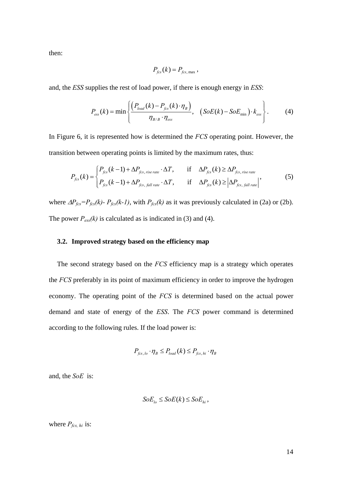then:

$$
P_{\text{fcs}}(k) = P_{\text{fcs, max}},
$$

and, the *ESS* supplies the rest of load power, if there is enough energy in *ESS*:

$$
P_{\rm ess}(k) = \min\left\{\frac{\left(P_{\rm load}(k) - P_{\rm fcs}(k) \cdot \eta_B\right)}{\eta_{\rm B/B} \cdot \eta_{\rm ess}}, \quad \text{(SoE(k) - SoE_{\rm min}) \cdot k_{\rm ess}\right\}.
$$
 (4)

In Figure 6, it is represented how is determined the *FCS* operating point. However, the transition between operating points is limited by the maximum rates, thus:

$$
P_{fcs}(k) = \begin{cases} P_{fcs}(k-1) + \Delta P_{fcs, rise\ rate} \cdot \Delta T, & \text{if } \Delta P_{fcs}(k) \ge \Delta P_{fcs, rise\ rate} \\ P_{fcs}(k-1) + \Delta P_{fcs, fall\ rate} \cdot \Delta T, & \text{if } \Delta P_{fcs}(k) \ge |\Delta P_{fcs, fall\ rate}| \end{cases}
$$
(5)

where  $\Delta P_{fcs} = P_{fcs}(k) - P_{fcs}(k-1)$ , with  $P_{fcs}(k)$  as it was previously calculated in (2a) or (2b). The power  $P_{\text{ess}}(k)$  is calculated as is indicated in (3) and (4).

### **3.2. Improved strategy based on the efficiency map**

The second strategy based on the *FCS* efficiency map is a strategy which operates the *FCS* preferably in its point of maximum efficiency in order to improve the hydrogen economy. The operating point of the *FCS* is determined based on the actual power demand and state of energy of the *ESS*. The *FCS* power command is determined according to the following rules. If the load power is:

$$
P_{fcs,lo} \cdot \eta_B \le P_{load}(k) \le P_{fcs,hi} \cdot \eta_B
$$

and, the *SoE* is:

$$
SoE_{lo} \le SoE(k) \le SoE_{hi},
$$

where  $P_{fcs, hi}$  is: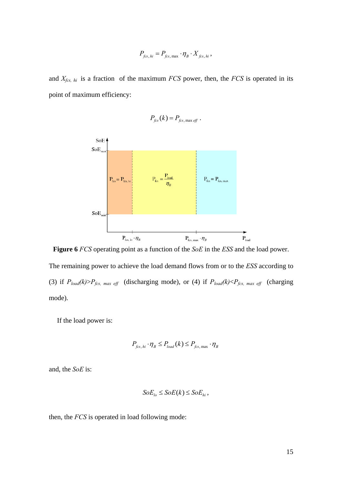$$
P_{\text{fcs, hi}} = P_{\text{fcs, max}} \cdot \eta_B \cdot X_{\text{fcs, hi}},
$$

and *Xfcs, hi* is a fraction of the maximum *FCS* power, then, the *FCS* is operated in its point of maximum efficiency:

$$
P_{\text{fcs}}(k) = P_{\text{fcs, max eff}}.
$$



**Figure 6** *FCS* operating point as a function of the *SoE* in the *ESS* and the load power.

The remaining power to achieve the load demand flows from or to the *ESS* according to (3) if  $P_{load}(k) > P_{fcs, max \text{ eff}}$  (discharging mode), or (4) if  $P_{load}(k) < P_{fcs, max \text{ eff}}$  (charging mode).

If the load power is:

$$
P_{fcs, hi} \cdot \eta_B \le P_{load}(k) \le P_{fcs, max} \cdot \eta_B
$$

and, the *SoE* is:

$$
SoE_{lo} \le SoE(k) \le SoE_{hi},
$$

then, the *FCS* is operated in load following mode: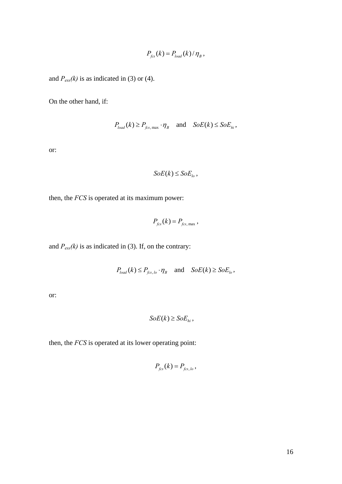$$
P_{\text{fcs}}(k) = P_{\text{load}}(k) / \eta_{\text{B}},
$$

and  $P_{ess}(k)$  is as indicated in (3) or (4).

On the other hand, if:

$$
P_{load}(k) \ge P_{fcs, \max} \cdot \eta_B \quad \text{and} \quad SoE(k) \le SoE_{hi},
$$

or:

$$
SoE(k) \le SoE_{lo}\,,
$$

then, the *FCS* is operated at its maximum power:

$$
P_{\text{fcs}}(k) = P_{\text{fcs, max}},
$$

and  $P_{\text{ess}}(k)$  is as indicated in (3). If, on the contrary:

$$
P_{load}(k) \le P_{fcs,lo} \cdot \eta_B \quad \text{and} \quad SoE(k) \ge SoE_{lo},
$$

or:

$$
SoE(k) \ge SoE_{hi},
$$

then, the *FCS* is operated at its lower operating point:

$$
P_{\text{fcs}}(k) = P_{\text{fcs},\text{lo}},
$$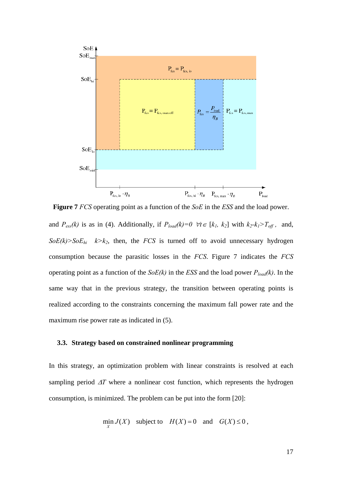

and  $P_{ess}(k)$  is as in (4). Additionally, if  $P_{load}(k)=0 \ \forall t \in [k_1, k_2]$  with  $k_2 \cdot k_1 > T_{off}$ , and,  $SoE(k) > SoE_{hi}$   $k > k_2$ , then, the *FCS* is turned off to avoid unnecessary hydrogen consumption because the parasitic losses in the *FCS*. Figure 7 indicates the *FCS* operating point as a function of the *SoE(k)* in the *ESS* and the load power *Pload(k)*. In the same way that in the previous strategy, the transition between operating points is realized according to the constraints concerning the maximum fall power rate and the maximum rise power rate as indicated in (5). **Figure 7** *FCS* operating point as a function of the *SoE* in the *ESS* and the load power.

## **3.3. Strategy based on constrained nonlinear programming**

In this strategy, an optimization problem with linear constraints is resolved at each sampling period Δ*T* where a nonlinear cost function, which represents the hydrogen consumption, is minimized. The problem can be put into the form [20]:

$$
\min_{X} J(X) \quad \text{subject to} \quad H(X) = 0 \quad \text{and} \quad G(X) \le 0,
$$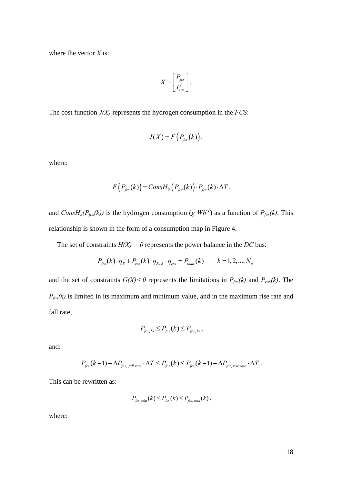where the vector *X* is:

$$
X = \begin{bmatrix} P_{fcs} \\ P_{\text{ess}} \end{bmatrix}.
$$

The cost function *J(X)* represents the hydrogen consumption in the *FCS*:

$$
J(X) = F\left(P_{fcs}(k)\right),\,
$$

where:

$$
F(P_{fcs}(k)) = Const_{2}(P_{fcs}(k)) \cdot P_{fcs}(k) \cdot \Delta T,
$$

and *ConsH<sub>2</sub>(P<sub>fcs</sub>(k)*) is the hydrogen consumption (*g Wh<sup>-1</sup>*) as a function of *P<sub>fcs</sub>(k)*. This relationship is shown in the form of a consumption map in Figure 4.

The set of constraints  $H(X) = 0$  represents the power balance in the *DC* bus:

$$
P_{\text{fcs}}(k) \cdot \eta_B + P_{\text{ess}}(k) \cdot \eta_{\text{B/B}} \cdot \eta_{\text{ess}} = P_{\text{load}}(k) \qquad k = 1, 2, ..., N_c
$$

and the set of constraints  $G(X) \le 0$  represents the limitations in  $P_{fcs}(k)$  and  $P_{ess}(k)$ . The  $P_{\text{fcs}}(k)$  is limited in its maximum and minimum value, and in the maximum rise rate and fall rate,

$$
P_{\text{fcs, lo}} \le P_{\text{fcs}}(k) \le P_{\text{fcs, hi}},
$$

and:

$$
P_{\text{fcs}}(k-1) + \Delta P_{\text{fcs, fall rate}} \cdot \Delta T \le P_{\text{fcs}}(k) \le P_{\text{fcs}}(k-1) + \Delta P_{\text{fcs, rise rate}} \cdot \Delta T.
$$

This can be rewritten as:

$$
P_{fcs, min}(k) \le P_{fcs}(k) \le P_{fcs, max}(k),
$$

where: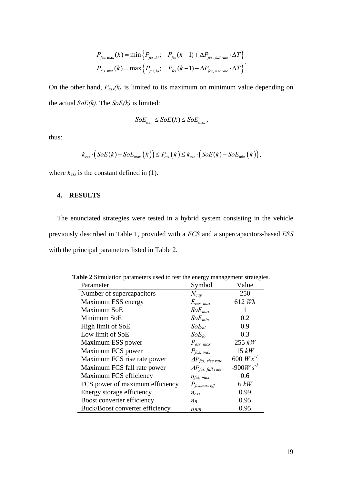$$
P_{fcs, max}(k) = \min \left\{ P_{fcs, hi}; \quad P_{fcs}(k-1) + \Delta P_{fcs, fall\ rate} \cdot \Delta T \right\}
$$
  

$$
P_{fcs,min}(k) = \max \left\{ P_{fcs, lo}; \quad P_{fcs}(k-1) + \Delta P_{fcs,\ rise\ rate} \cdot \Delta T \right\}.
$$

On the other hand,  $P_{\text{ess}}(k)$  is limited to its maximum on minimum value depending on the actual *SoE(k)*. The *SoE(k)* is limited:

$$
SoE_{\min} \leq SoE(k) \leq SoE_{\max},
$$

thus:

$$
k_{\text{ess}} \cdot \left( \text{SoE}(k) - \text{SoE}_{\text{max}}(k) \right) \le P_{\text{ess}}(k) \le k_{\text{ess}} \cdot \left( \text{SoE}(k) - \text{SoE}_{\text{min}}(k) \right),
$$

where  $k_{ess}$  is the constant defined in (1).

### **4. RESULTS**

The enunciated strategies were tested in a hybrid system consisting in the vehicle previously described in Table 1, provided with a *FCS* and a supercapacitors-based *ESS* with the principal parameters listed in Table 2.

| $\sim$ summation parameters ascards test and energy management strategies. |                                    |                |
|----------------------------------------------------------------------------|------------------------------------|----------------|
| Parameter                                                                  | Symbol                             | Value          |
| Number of supercapacitors                                                  | $N_{cap}$                          | 250            |
| Maximum ESS energy                                                         | $E_{\text{ess, max}}$              | 612 Wh         |
| Maximum SoE                                                                | $SoE_{max}$                        |                |
| Minimum SoE                                                                | $SoE_{min}$                        | 0.2            |
| High limit of SoE                                                          | $SoE_{hi}$                         | 0.9            |
| Low limit of SoE                                                           | $SoE_{lo}$                         | 0.3            |
| Maximum ESS power                                                          | $P_{\text{ess, max}}$              | $255$ $kW$     |
| Maximum FCS power                                                          | $P_{fcs, max}$                     | $15$ $kW$      |
| Maximum FCS rise rate power                                                | $\Delta P_{\text{fcs, rise rate}}$ | 600 $W s^{-1}$ |
| Maximum FCS fall rate power                                                | $\Delta P_{fcs, fall\ rate}$       | $-900W s^{-1}$ |
| Maximum FCS efficiency                                                     | $\eta_{\text{fcs, max}}$           | 0.6            |
| FCS power of maximum efficiency                                            | $P_{\text{fcs,max eff}}$           | $6$ $kW$       |
| Energy storage efficiency                                                  | $\eta_{ess}$                       | 0.99           |
| Boost converter efficiency                                                 | $\eta_B$                           | 0.95           |
| Buck/Boost converter efficiency                                            | $\eta_{B/B}$                       | 0.95           |

**Table 2** Simulation parameters used to test the energy management strategies.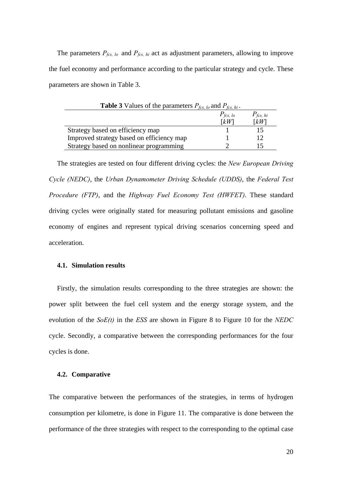The parameters  $P_{fcs, lo}$  and  $P_{fcs, hi}$  act as adjustment parameters, allowing to improve the fuel economy and performance according to the particular strategy and cycle. These parameters are shown in Table 3.

| <b>Table 3</b> Values of the parameters $P_{fcs, lo}$ and $P_{fcs, hi}$ . |                      |                    |
|---------------------------------------------------------------------------|----------------------|--------------------|
|                                                                           | $P_{\text{fcs, lo}}$ | $P_{fcs, hi}$      |
|                                                                           | $\lceil kW \rceil$   | $\lceil kW \rceil$ |
| Strategy based on efficiency map                                          |                      | 15                 |
| Improved strategy based on efficiency map                                 |                      | 12                 |
| Strategy based on nonlinear programming                                   |                      |                    |

The strategies are tested on four different driving cycles: the *New European Driving Cycle (NEDC)*, the *Urban Dynamometer Driving Schedule (UDDS)*, the *Federal Test Procedure (FTP)*, and the *Highway Fuel Economy Test (HWFET)*. These standard driving cycles were originally stated for measuring pollutant emissions and gasoline economy of engines and represent typical driving scenarios concerning speed and acceleration.

### **4.1. Simulation results**

Firstly, the simulation results corresponding to the three strategies are shown: the power split between the fuel cell system and the energy storage system, and the evolution of the *SoE(t)* in the *ESS* are shown in Figure 8 to Figure 10 for the *NEDC* cycle. Secondly, a comparative between the corresponding performances for the four cycles is done.

#### **4.2. Comparative**

The comparative between the performances of the strategies, in terms of hydrogen consumption per kilometre, is done in Figure 11. The comparative is done between the performance of the three strategies with respect to the corresponding to the optimal case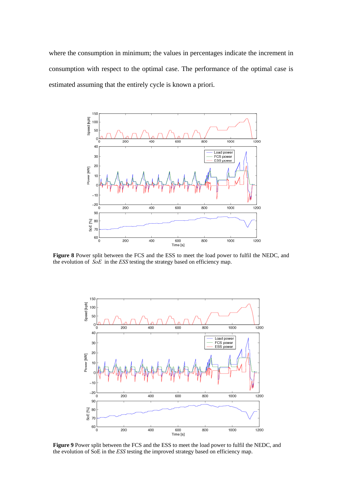where the consumption in minimum; the values in percentages indicate the increment in consumption with respect to the optimal case. The performance of the optimal case is estimated assuming that the entirely cycle is known a priori.



**Figure 8** Power split between the FCS and the ESS to meet the load power to fulfil the NEDC, and the evolution of *SoE* in the *ESS* testing the strategy based on efficiency map.



**Figure 9** Power split between the FCS and the ESS to meet the load power to fulfil the NEDC, and the evolution of SoE in the *ESS* testing the improved strategy based on efficiency map.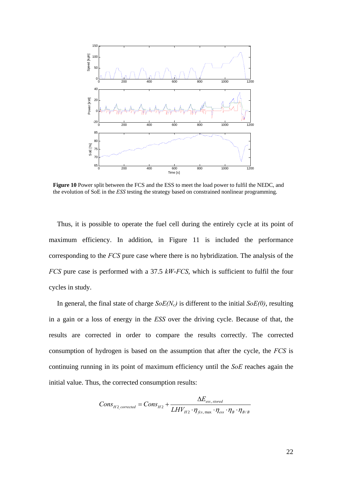

**Figure 10** Power split between the FCS and the ESS to meet the load power to fulfil the NEDC, and the evolution of SoE in the *ESS* testing the strategy based on constrained nonlinear programming.

Thus, it is possible to operate the fuel cell during the entirely cycle at its point of maximum efficiency. In addition, in Figure 11 is included the performance corresponding to the *FCS* pure case where there is no hybridization. The analysis of the *FCS* pure case is performed with a 37.5 *kW*-*FCS*, which is sufficient to fulfil the four cycles in study.

In general, the final state of charge  $SoE(N_c)$  is different to the initial  $SoE(0)$ , resulting in a gain or a loss of energy in the *ESS* over the driving cycle. Because of that, the results are corrected in order to compare the results correctly. The corrected consumption of hydrogen is based on the assumption that after the cycle, the *FCS* is continuing running in its point of maximum efficiency until the *SoE* reaches again the initial value. Thus, the corrected consumption results:

$$
Cons_{H2,corrected} = Cons_{H2} + \frac{\Delta E_{ess, stored}}{LHV_{H2} \cdot \eta_{fcs, max} \cdot \eta_{ess} \cdot \eta_B \cdot \eta_{B/B}}
$$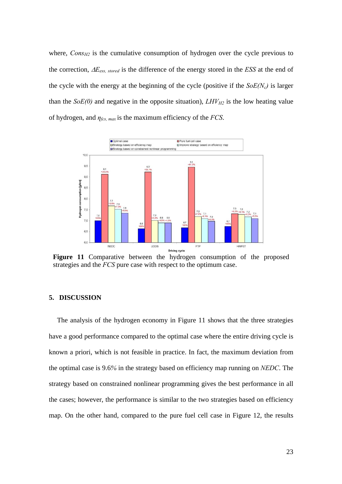where,  $Cons_{H2}$  is the cumulative consumption of hydrogen over the cycle previous to the correction, Δ*Eess, stored* is the difference of the energy stored in the *ESS* at the end of the cycle with the energy at the beginning of the cycle (positive if the  $SoE(N_c)$ ) is larger than the  $SoE(0)$  and negative in the opposite situation),  $LHV_{H2}$  is the low heating value of hydrogen, and *ηfcs, max* is the maximum efficiency of the *FCS*.



**Figure 11** Comparative between the hydrogen consumption of the proposed strategies and the *FCS* pure case with respect to the optimum case.

### **5. DISCUSSION**

The analysis of the hydrogen economy in Figure 11 shows that the three strategies have a good performance compared to the optimal case where the entire driving cycle is known a priori, which is not feasible in practice. In fact, the maximum deviation from the optimal case is 9.6*%* in the strategy based on efficiency map running on *NEDC*. The strategy based on constrained nonlinear programming gives the best performance in all the cases; however, the performance is similar to the two strategies based on efficiency map. On the other hand, compared to the pure fuel cell case in Figure 12, the results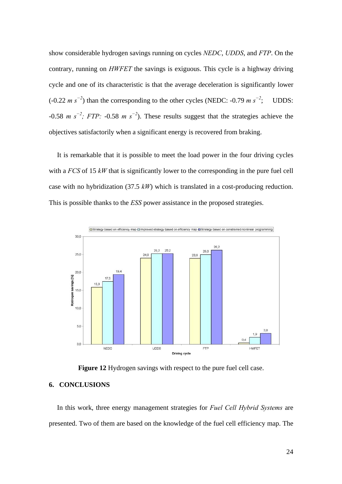show considerable hydrogen savings running on cycles *NEDC*, *UDDS*, and *FTP*. On the contrary, running on *HWFET* the savings is exiguous. This cycle is a highway driving cycle and one of its characteristic is that the average deceleration is significantly lower (-0.22 *m s<sup>−</sup><sup>2</sup>* ) than the corresponding to the other cycles (NEDC: -0.79 *m s<sup>−</sup><sup>2</sup>* ; UDDS: -0.58 *m s<sup>−</sup><sup>2</sup> ; FTP:* -0.58 *m s<sup>−</sup><sup>2</sup>* ). These results suggest that the strategies achieve the objectives satisfactorily when a significant energy is recovered from braking.

It is remarkable that it is possible to meet the load power in the four driving cycles with a *FCS* of 15 *kW* that is significantly lower to the corresponding in the pure fuel cell case with no hybridization (37.5 *kW*) which is translated in a cost-producing reduction. This is possible thanks to the *ESS* power assistance in the proposed strategies.



**Figure 12** Hydrogen savings with respect to the pure fuel cell case.

# **6. CONCLUSIONS**

In this work, three energy management strategies for *Fuel Cell Hybrid Systems* are presented. Two of them are based on the knowledge of the fuel cell efficiency map. The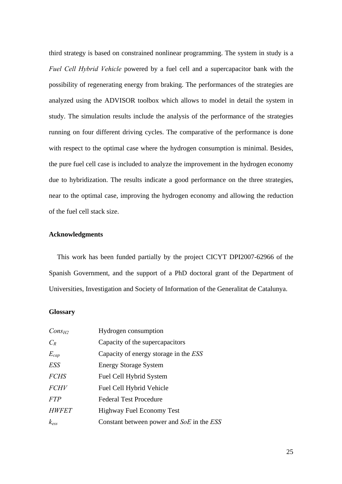third strategy is based on constrained nonlinear programming. The system in study is a *Fuel Cell Hybrid Vehicle* powered by a fuel cell and a supercapacitor bank with the possibility of regenerating energy from braking. The performances of the strategies are analyzed using the ADVISOR toolbox which allows to model in detail the system in study. The simulation results include the analysis of the performance of the strategies running on four different driving cycles. The comparative of the performance is done with respect to the optimal case where the hydrogen consumption is minimal. Besides, the pure fuel cell case is included to analyze the improvement in the hydrogen economy due to hybridization. The results indicate a good performance on the three strategies, near to the optimal case, improving the hydrogen economy and allowing the reduction of the fuel cell stack size.

### **Acknowledgments**

This work has been funded partially by the project CICYT DPI2007-62966 of the Spanish Government, and the support of a PhD doctoral grant of the Department of Universities, Investigation and Society of Information of the Generalitat de Catalunya.

## **Glossary**

| $Cons_{H2}$  | Hydrogen consumption                      |
|--------------|-------------------------------------------|
| $C_R$        | Capacity of the supercapacitors           |
| $E_{cap}$    | Capacity of energy storage in the ESS     |
| <b>ESS</b>   | <b>Energy Storage System</b>              |
| <b>FCHS</b>  | Fuel Cell Hybrid System                   |
| <b>FCHV</b>  | Fuel Cell Hybrid Vehicle                  |
| <b>FTP</b>   | <b>Federal Test Procedure</b>             |
| <b>HWFET</b> | Highway Fuel Economy Test                 |
| $k_{ess}$    | Constant between power and SoE in the ESS |
|              |                                           |